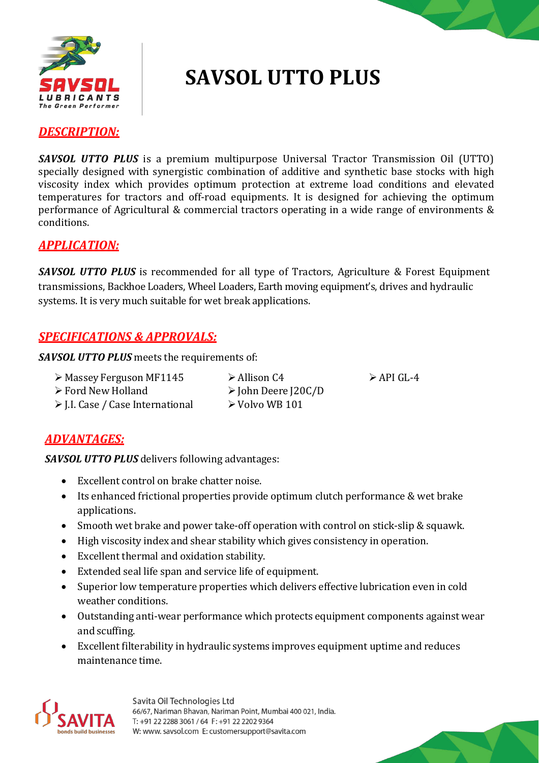

# **SAVSOL UTTO PLUS**

#### *DESCRIPTION:*

*SAVSOL UTTO PLUS* is a premium multipurpose Universal Tractor Transmission Oil (UTTO) specially designed with synergistic combination of additive and synthetic base stocks with high viscosity index which provides optimum protection at extreme load conditions and elevated temperatures for tractors and off-road equipments. It is designed for achieving the optimum performance of Agricultural & commercial tractors operating in a wide range of environments & conditions.

#### *APPLICATION:*

**SAVSOL UTTO PLUS** is recommended for all type of Tractors, Agriculture & Forest Equipment transmissions, Backhoe Loaders, Wheel Loaders, Earth moving equipment's, drives and hydraulic systems. It is very much suitable for wet break applications.

## *SPECIFICATIONS & APPROVALS:*

*SAVSOL UTTO PLUS* meets the requirements of:

|  | > Massey Ferguson MF114! |  |
|--|--------------------------|--|
|  |                          |  |

- Ford New Holland
- J.I. Case / Case International
- John Deere J20C/D  $\triangleright$  Volvo WB 101

 $5 \rightarrow$  Allison C4  $\rightarrow$  API GL-4

## *ADVANTAGES:*

*SAVSOL UTTO PLUS* delivers following advantages:

- Excellent control on brake chatter noise.
- Its enhanced frictional properties provide optimum clutch performance & wet brake applications.
- Smooth wet brake and power take-off operation with control on stick-slip & squawk.
- High viscosity index and shear stability which gives consistency in operation.
- Excellent thermal and oxidation stability.
- Extended seal life span and service life of equipment.
- Superior low temperature properties which delivers effective lubrication even in cold weather conditions.
- Outstanding anti-wear performance which protects equipment components against wear and scuffing.
- Excellent filterability in hydraulic systems improves equipment uptime and reduces maintenance time.



Savita Oil Technologies Ltd 66/67, Nariman Bhavan, Nariman Point, Mumbai 400 021, India. T: +91 22 2288 3061 / 64 F: +91 22 2202 9364 W: www. savsol.com E: customersupport@savita.com